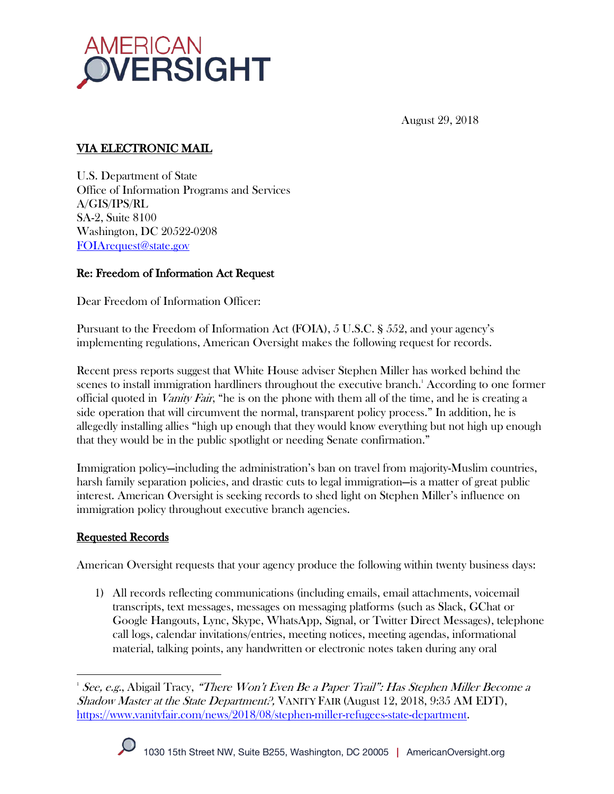

August 29, 2018

## VIA ELECTRONIC MAIL

U.S. Department of State Office of Information Programs and Services A/GIS/IPS/RL SA-2, Suite 8100 Washington, DC 20522-0208 FOIArequest@state.gov

# Re: Freedom of Information Act Request

Dear Freedom of Information Officer:

Pursuant to the Freedom of Information Act (FOIA), 5 U.S.C. § 552, and your agency's implementing regulations, American Oversight makes the following request for records.

Recent press reports suggest that White House adviser Stephen Miller has worked behind the scenes to install immigration hardliners throughout the executive branch.<sup>1</sup> According to one former official quoted in *Vanity Fair*, "he is on the phone with them all of the time, and he is creating a side operation that will circumvent the normal, transparent policy process." In addition, he is allegedly installing allies "high up enough that they would know everything but not high up enough that they would be in the public spotlight or needing Senate confirmation."

Immigration policy—including the administration's ban on travel from majority-Muslim countries, harsh family separation policies, and drastic cuts to legal immigration—is a matter of great public interest. American Oversight is seeking records to shed light on Stephen Miller's influence on immigration policy throughout executive branch agencies.

### Requested Records

American Oversight requests that your agency produce the following within twenty business days:

1) All records reflecting communications (including emails, email attachments, voicemail transcripts, text messages, messages on messaging platforms (such as Slack, GChat or Google Hangouts, Lync, Skype, WhatsApp, Signal, or Twitter Direct Messages), telephone call logs, calendar invitations/entries, meeting notices, meeting agendas, informational material, talking points, any handwritten or electronic notes taken during any oral

 <sup>1</sup> See, e.g., Abigail Tracy, "There Won't Even Be a Paper Trail": Has Stephen Miller Become a Shadow Master at the State Department?, VANITY FAIR (August 12, 2018, 9:35 AM EDT), https://www.vanityfair.com/news/2018/08/stephen-miller-refugees-state-department.

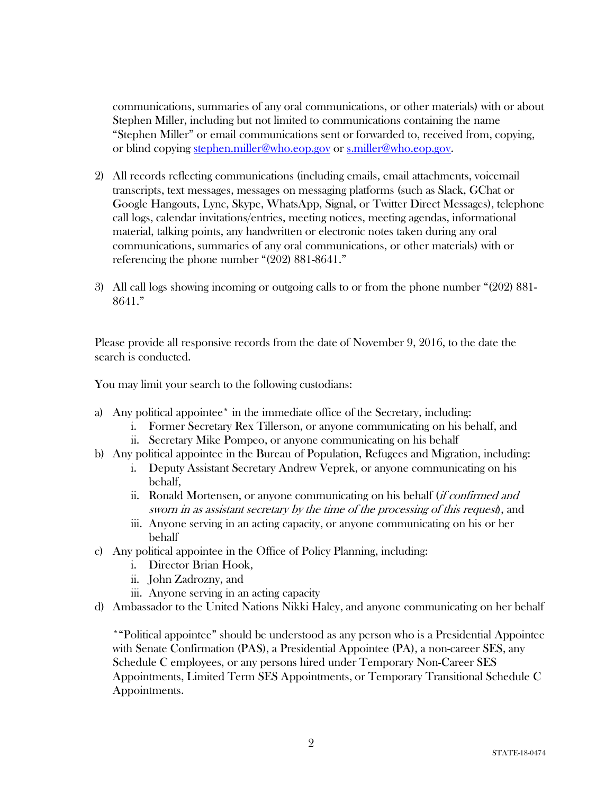communications, summaries of any oral communications, or other materials) with or about Stephen Miller, including but not limited to communications containing the name "Stephen Miller" or email communications sent or forwarded to, received from, copying, or blind copying stephen.miller@who.eop.gov or s.miller@who.eop.gov.

- 2) All records reflecting communications (including emails, email attachments, voicemail transcripts, text messages, messages on messaging platforms (such as Slack, GChat or Google Hangouts, Lync, Skype, WhatsApp, Signal, or Twitter Direct Messages), telephone call logs, calendar invitations/entries, meeting notices, meeting agendas, informational material, talking points, any handwritten or electronic notes taken during any oral communications, summaries of any oral communications, or other materials) with or referencing the phone number "(202) 881-8641."
- 3) All call logs showing incoming or outgoing calls to or from the phone number "(202) 881- 8641."

Please provide all responsive records from the date of November 9, 2016, to the date the search is conducted.

You may limit your search to the following custodians:

- a) Any political appointee\* in the immediate office of the Secretary, including:
	- i. Former Secretary Rex Tillerson, or anyone communicating on his behalf, and
	- ii. Secretary Mike Pompeo, or anyone communicating on his behalf
- b) Any political appointee in the Bureau of Population, Refugees and Migration, including:
	- i. Deputy Assistant Secretary Andrew Veprek, or anyone communicating on his behalf,
	- ii. Ronald Mortensen, or anyone communicating on his behalf (if confirmed and sworn in as assistant secretary by the time of the processing of this request), and
	- iii. Anyone serving in an acting capacity, or anyone communicating on his or her behalf
- c) Any political appointee in the Office of Policy Planning, including:
	- i. Director Brian Hook,
	- ii. John Zadrozny, and
	- iii. Anyone serving in an acting capacity
- d) Ambassador to the United Nations Nikki Haley, and anyone communicating on her behalf

\*"Political appointee" should be understood as any person who is a Presidential Appointee with Senate Confirmation (PAS), a Presidential Appointee (PA), a non-career SES, any Schedule C employees, or any persons hired under Temporary Non-Career SES Appointments, Limited Term SES Appointments, or Temporary Transitional Schedule C Appointments.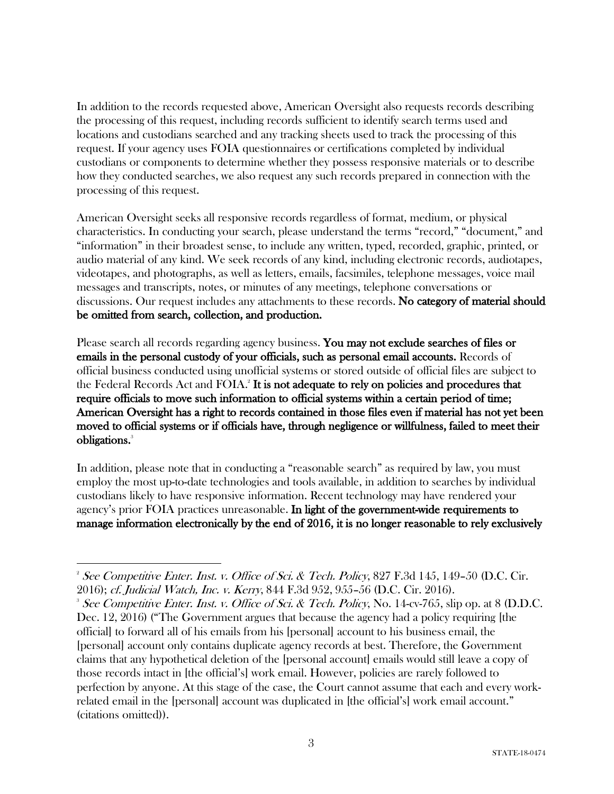In addition to the records requested above, American Oversight also requests records describing the processing of this request, including records sufficient to identify search terms used and locations and custodians searched and any tracking sheets used to track the processing of this request. If your agency uses FOIA questionnaires or certifications completed by individual custodians or components to determine whether they possess responsive materials or to describe how they conducted searches, we also request any such records prepared in connection with the processing of this request.

American Oversight seeks all responsive records regardless of format, medium, or physical characteristics. In conducting your search, please understand the terms "record," "document," and "information" in their broadest sense, to include any written, typed, recorded, graphic, printed, or audio material of any kind. We seek records of any kind, including electronic records, audiotapes, videotapes, and photographs, as well as letters, emails, facsimiles, telephone messages, voice mail messages and transcripts, notes, or minutes of any meetings, telephone conversations or discussions. Our request includes any attachments to these records. No category of material should be omitted from search, collection, and production.

Please search all records regarding agency business. You may not exclude searches of files or emails in the personal custody of your officials, such as personal email accounts. Records of official business conducted using unofficial systems or stored outside of official files are subject to the Federal Records Act and FOIA.<sup>2</sup> It is not adequate to rely on policies and procedures that require officials to move such information to official systems within a certain period of time; American Oversight has a right to records contained in those files even if material has not yet been moved to official systems or if officials have, through negligence or willfulness, failed to meet their obligations. 3

In addition, please note that in conducting a "reasonable search" as required by law, you must employ the most up-to-date technologies and tools available, in addition to searches by individual custodians likely to have responsive information. Recent technology may have rendered your agency's prior FOIA practices unreasonable. In light of the government-wide requirements to manage information electronically by the end of 2016, it is no longer reasonable to rely exclusively

 <sup>2</sup> See Competitive Enter. Inst. v. Office of Sci. & Tech. Policy, 827 F.3d 145, 149–50 (D.C. Cir. 2016); cf. Judicial Watch, Inc. v. Kerry, 844 F.3d 952, 955–56 (D.C. Cir. 2016). 3

<sup>&</sup>lt;sup>3</sup> See Competitive Enter. Inst. v. Office of Sci. & Tech. Policy, No. 14-cv-765, slip op. at 8 (D.D.C. Dec. 12, 2016) ("The Government argues that because the agency had a policy requiring [the official] to forward all of his emails from his [personal] account to his business email, the [personal] account only contains duplicate agency records at best. Therefore, the Government claims that any hypothetical deletion of the [personal account] emails would still leave a copy of those records intact in [the official's] work email. However, policies are rarely followed to perfection by anyone. At this stage of the case, the Court cannot assume that each and every workrelated email in the [personal] account was duplicated in [the official's] work email account." (citations omitted)).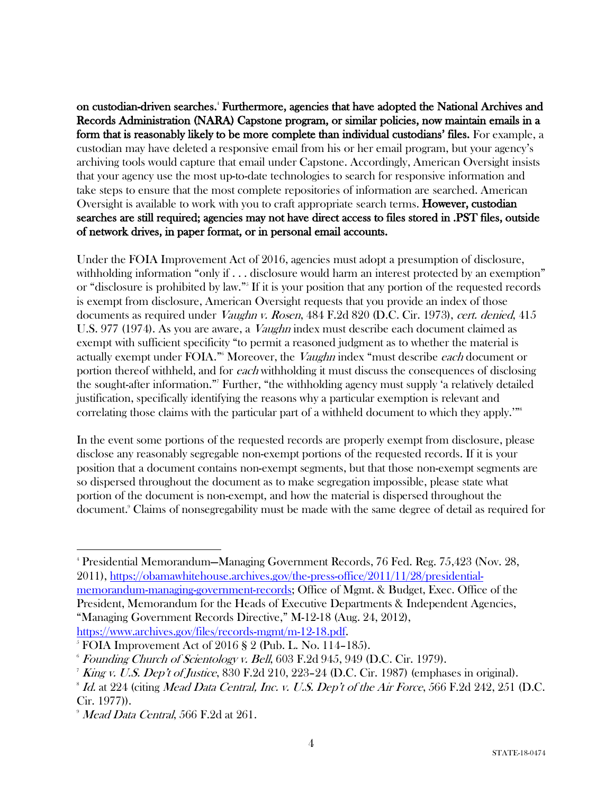on custodian-driven searches. <sup>4</sup> Furthermore, agencies that have adopted the National Archives and Records Administration (NARA) Capstone program, or similar policies, now maintain emails in a form that is reasonably likely to be more complete than individual custodians' files. For example, a custodian may have deleted a responsive email from his or her email program, but your agency's archiving tools would capture that email under Capstone. Accordingly, American Oversight insists that your agency use the most up-to-date technologies to search for responsive information and take steps to ensure that the most complete repositories of information are searched. American Oversight is available to work with you to craft appropriate search terms. However, custodian searches are still required; agencies may not have direct access to files stored in .PST files, outside of network drives, in paper format, or in personal email accounts.

Under the FOIA Improvement Act of 2016, agencies must adopt a presumption of disclosure, withholding information "only if . . . disclosure would harm an interest protected by an exemption" or "disclosure is prohibited by law."5 If it is your position that any portion of the requested records is exempt from disclosure, American Oversight requests that you provide an index of those documents as required under *Vaughn v. Rosen*, 484 F.2d 820 (D.C. Cir. 1973), *cert. denied*, 415 U.S. 977 (1974). As you are aware, a *Vaughn* index must describe each document claimed as exempt with sufficient specificity "to permit a reasoned judgment as to whether the material is actually exempt under FOIA."<sup>6</sup> Moreover, the *Vaughn* index "must describe *each* document or portion thereof withheld, and for each withholding it must discuss the consequences of disclosing the sought-after information."7 Further, "the withholding agency must supply 'a relatively detailed justification, specifically identifying the reasons why a particular exemption is relevant and correlating those claims with the particular part of a withheld document to which they apply.'"<sup>8</sup>

In the event some portions of the requested records are properly exempt from disclosure, please disclose any reasonably segregable non-exempt portions of the requested records. If it is your position that a document contains non-exempt segments, but that those non-exempt segments are so dispersed throughout the document as to make segregation impossible, please state what portion of the document is non-exempt, and how the material is dispersed throughout the document.9 Claims of nonsegregability must be made with the same degree of detail as required for

 <sup>4</sup> Presidential Memorandum—Managing Government Records, 76 Fed. Reg. 75,423 (Nov. 28, 2011), https://obamawhitehouse.archives.gov/the-press-office/2011/11/28/presidentialmemorandum-managing-government-records; Office of Mgmt. & Budget, Exec. Office of the President, Memorandum for the Heads of Executive Departments & Independent Agencies, "Managing Government Records Directive," M-12-18 (Aug. 24, 2012),

https://www.archives.gov/files/records-mgmt/m-12-18.pdf.

<sup>5</sup> FOIA Improvement Act of 2016 § 2 (Pub. L. No. 114–185).

 $6$  Founding Church of Scientology v. Bell, 603 F.2d 945, 949 (D.C. Cir. 1979).

*King v. U.S. Dep't of Justice*, 830 F.2d 210, 223-24 (D.C. Cir. 1987) (emphases in original).

 $\delta$  Id. at 224 (citing Mead Data Central, Inc. v. U.S. Dep't of the Air Force, 566 F.2d 242, 251 (D.C. Cir. 1977)).

 $9$  Mead Data Central, 566 F.2d at 261.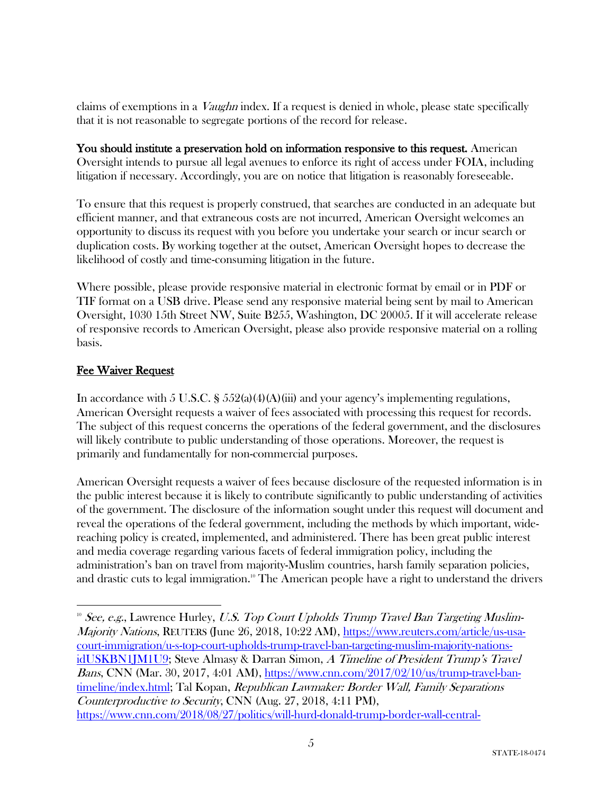claims of exemptions in a Vaughn index. If a request is denied in whole, please state specifically that it is not reasonable to segregate portions of the record for release.

You should institute a preservation hold on information responsive to this request. American Oversight intends to pursue all legal avenues to enforce its right of access under FOIA, including litigation if necessary. Accordingly, you are on notice that litigation is reasonably foreseeable.

To ensure that this request is properly construed, that searches are conducted in an adequate but efficient manner, and that extraneous costs are not incurred, American Oversight welcomes an opportunity to discuss its request with you before you undertake your search or incur search or duplication costs. By working together at the outset, American Oversight hopes to decrease the likelihood of costly and time-consuming litigation in the future.

Where possible, please provide responsive material in electronic format by email or in PDF or TIF format on a USB drive. Please send any responsive material being sent by mail to American Oversight, 1030 15th Street NW, Suite B255, Washington, DC 20005. If it will accelerate release of responsive records to American Oversight, please also provide responsive material on a rolling basis.

### Fee Waiver Request

In accordance with 5 U.S.C. §  $552(a)(4)(A)(iii)$  and your agency's implementing regulations, American Oversight requests a waiver of fees associated with processing this request for records. The subject of this request concerns the operations of the federal government, and the disclosures will likely contribute to public understanding of those operations. Moreover, the request is primarily and fundamentally for non-commercial purposes.

American Oversight requests a waiver of fees because disclosure of the requested information is in the public interest because it is likely to contribute significantly to public understanding of activities of the government. The disclosure of the information sought under this request will document and reveal the operations of the federal government, including the methods by which important, widereaching policy is created, implemented, and administered. There has been great public interest and media coverage regarding various facets of federal immigration policy, including the administration's ban on travel from majority-Muslim countries, harsh family separation policies, and drastic cuts to legal immigration.<sup>10</sup> The American people have a right to understand the drivers

 $10^{\circ}$  See, e.g., Lawrence Hurley, U.S. Top Court Upholds Trump Travel Ban Targeting Muslim-Majority Nations, REUTERS (June 26, 2018, 10:22 AM), https://www.reuters.com/article/us-usacourt-immigration/u-s-top-court-upholds-trump-travel-ban-targeting-muslim-majority-nationsidUSKBN1JM1U9; Steve Almasy & Darran Simon, A Timeline of President Trump's Travel Bans, CNN (Mar. 30, 2017, 4:01 AM), https://www.cnn.com/2017/02/10/us/trump-travel-bantimeline/index.html; Tal Kopan, Republican Lawmaker: Border Wall, Family Separations Counterproductive to Security, CNN (Aug. 27, 2018, 4:11 PM), https://www.cnn.com/2018/08/27/politics/will-hurd-donald-trump-border-wall-central-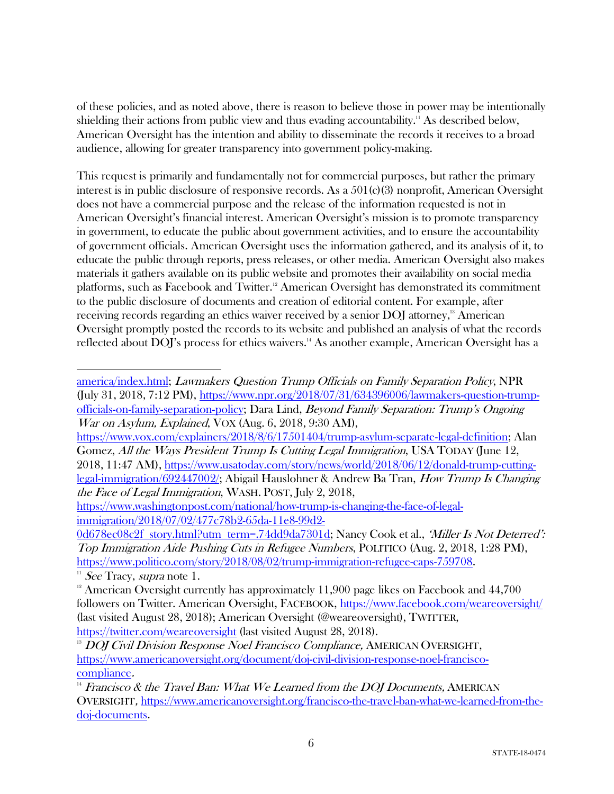of these policies, and as noted above, there is reason to believe those in power may be intentionally shielding their actions from public view and thus evading accountability.<sup>11</sup> As described below, American Oversight has the intention and ability to disseminate the records it receives to a broad audience, allowing for greater transparency into government policy-making.

This request is primarily and fundamentally not for commercial purposes, but rather the primary interest is in public disclosure of responsive records. As a  $501(c)(3)$  nonprofit, American Oversight does not have a commercial purpose and the release of the information requested is not in American Oversight's financial interest. American Oversight's mission is to promote transparency in government, to educate the public about government activities, and to ensure the accountability of government officials. American Oversight uses the information gathered, and its analysis of it, to educate the public through reports, press releases, or other media. American Oversight also makes materials it gathers available on its public website and promotes their availability on social media platforms, such as Facebook and Twitter.<sup>12</sup> American Oversight has demonstrated its commitment to the public disclosure of documents and creation of editorial content. For example, after receiving records regarding an ethics waiver received by a senior DOJ attorney,<sup>13</sup> American Oversight promptly posted the records to its website and published an analysis of what the records reflected about DOJ's process for ethics waivers.<sup>14</sup> As another example, American Oversight has a

https://www.vox.com/explainers/2018/8/6/17501404/trump-asylum-separate-legal-definition; Alan Gomez, All the Ways President Trump Is Cutting Legal Immigration, USA TODAY (June 12, 2018, 11:47 AM), https://www.usatoday.com/story/news/world/2018/06/12/donald-trump-cuttinglegal-immigration/692447002/; Abigail Hauslohner & Andrew Ba Tran, How Trump Is Changing the Face of Legal Immigration, WASH. POST, July 2, 2018,

<sup>&</sup>lt;u> Alexandria de la contrada de la contrada de la contrada de la contrada de la contrada de la contrada de la c</u> america/index.html; Lawmakers Question Trump Officials on Family Separation Policy, NPR (July 31, 2018, 7:12 PM), https://www.npr.org/2018/07/31/634396006/lawmakers-question-trumpofficials-on-family-separation-policy; Dara Lind, Beyond Family Separation: Trump's Ongoing War on Asylum, Explained, VOX (Aug. 6, 2018, 9:30 AM),

https://www.washingtonpost.com/national/how-trump-is-changing-the-face-of-legalimmigration/2018/07/02/477c78b2-65da-11e8-99d2-

<sup>0</sup>d678ec08c2f\_story.html?utm\_term=.74dd9da7301d; Nancy Cook et al., 'Miller Is Not Deterred': Top Immigration Aide Pushing Cuts in Refugee Numbers, POLITICO (Aug. 2, 2018, 1:28 PM), https://www.politico.com/story/2018/08/02/trump-immigration-refugee-caps-759708.<br>
<sup>11</sup> See Tracy, *supra* note 1.

 $12$  American Oversight currently has approximately 11,900 page likes on Facebook and 44,700 followers on Twitter. American Oversight, FACEBOOK, https://www.facebook.com/weareoversight/ (last visited August 28, 2018); American Oversight (@weareoversight), TWITTER, https://twitter.com/weareoversight (last visited August 28, 2018).

<sup>&</sup>lt;sup>13</sup> DOJ Civil Division Response Noel Francisco Compliance, AMERICAN OVERSIGHT, https://www.americanoversight.org/document/doj-civil-division-response-noel-franciscocompliance.

 $14$  Francisco & the Travel Ban: What We Learned from the DOJ Documents, AMERICAN OVERSIGHT, https://www.americanoversight.org/francisco-the-travel-ban-what-we-learned-from-thedoj-documents.